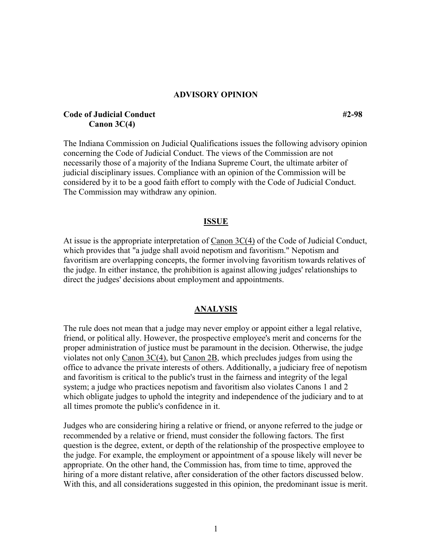### **ADVISORY OPINION**

## **Code of Judicial Conduct** #2-98 **Canon 3C(4)**

The Indiana Commission on Judicial Qualifications issues the following advisory opinion concerning the Code of Judicial Conduct. The views of the Commission are not necessarily those of a majority of the Indiana Supreme Court, the ultimate arbiter of judicial disciplinary issues. Compliance with an opinion of the Commission will be considered by it to be a good faith effort to comply with the Code of Judicial Conduct. The Commission may withdraw any opinion.

#### **ISSUE**

At issue is the appropriate interpretation of  $C$ anon  $3C(4)$  of the Code of Judicial Conduct, which provides that "a judge shall avoid nepotism and favoritism." Nepotism and favoritism are overlapping concepts, the former involving favoritism towards relatives of the judge. In either instance, the prohibition is against allowing judges' relationships to direct the judges' decisions about employment and appointments.

#### **ANALYSIS**

The rule does not mean that a judge may never employ or appoint either a legal relative, friend, or political ally. However, the prospective employee's merit and concerns for the proper administration of justice must be paramount in the decision. Otherwise, the judge violates not only Canon 3C(4), but Canon 2B, which precludes judges from using the office to advance the private interests of others. Additionally, a judiciary free of nepotism and favoritism is critical to the public's trust in the fairness and integrity of the legal system; a judge who practices nepotism and favoritism also violates Canons 1 and 2 which obligate judges to uphold the integrity and independence of the judiciary and to at all times promote the public's confidence in it.

Judges who are considering hiring a relative or friend, or anyone referred to the judge or recommended by a relative or friend, must consider the following factors. The first question is the degree, extent, or depth of the relationship of the prospective employee to the judge. For example, the employment or appointment of a spouse likely will never be appropriate. On the other hand, the Commission has, from time to time, approved the hiring of a more distant relative, after consideration of the other factors discussed below. With this, and all considerations suggested in this opinion, the predominant issue is merit.